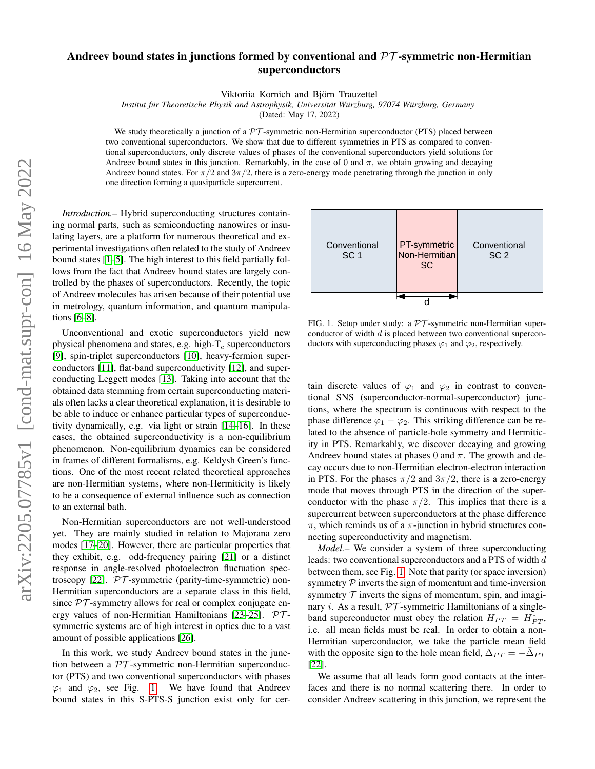## Andreev bound states in junctions formed by conventional and  $\mathcal{PT}$ -symmetric non-Hermitian superconductors

Viktoriia Kornich and Björn Trauzettel

*Institut fur Theoretische Physik and Astrophysik, Universit ¨ at W ¨ urzburg, 97074 W ¨ urzburg, Germany ¨*

(Dated: May 17, 2022)

We study theoretically a junction of a  $\mathcal{PT}$ -symmetric non-Hermitian superconductor (PTS) placed between two conventional superconductors. We show that due to different symmetries in PTS as compared to conventional superconductors, only discrete values of phases of the conventional superconductors yield solutions for Andreev bound states in this junction. Remarkably, in the case of 0 and  $\pi$ , we obtain growing and decaying Andreev bound states. For  $\pi/2$  and  $3\pi/2$ , there is a zero-energy mode penetrating through the junction in only one direction forming a quasiparticle supercurrent.

*Introduction.–* Hybrid superconducting structures containing normal parts, such as semiconducting nanowires or insulating layers, are a platform for numerous theoretical and experimental investigations often related to the study of Andreev bound states [\[1–](#page-3-0)[5\]](#page-3-1). The high interest to this field partially follows from the fact that Andreev bound states are largely controlled by the phases of superconductors. Recently, the topic of Andreev molecules has arisen because of their potential use in metrology, quantum information, and quantum manipulations [\[6](#page-3-2)[–8\]](#page-3-3).

Unconventional and exotic superconductors yield new physical phenomena and states, e.g. high- $T_c$  superconductors [\[9\]](#page-3-4), spin-triplet superconductors [\[10\]](#page-3-5), heavy-fermion superconductors [\[11\]](#page-3-6), flat-band superconductivity [\[12\]](#page-3-7), and superconducting Leggett modes [\[13\]](#page-4-0). Taking into account that the obtained data stemming from certain superconducting materials often lacks a clear theoretical explanation, it is desirable to be able to induce or enhance particular types of superconductivity dynamically, e.g. via light or strain [\[14–](#page-4-1)[16\]](#page-4-2). In these cases, the obtained superconductivity is a non-equilibrium phenomenon. Non-equilibrium dynamics can be considered in frames of different formalisms, e.g. Keldysh Green's functions. One of the most recent related theoretical approaches are non-Hermitian systems, where non-Hermiticity is likely to be a consequence of external influence such as connection to an external bath.

Non-Hermitian superconductors are not well-understood yet. They are mainly studied in relation to Majorana zero modes [\[17](#page-4-3)[–20\]](#page-4-4). However, there are particular properties that they exhibit, e.g. odd-frequency pairing [\[21\]](#page-4-5) or a distinct response in angle-resolved photoelectron fluctuation spec-troscopy [\[22\]](#page-4-6).  $PT$ -symmetric (parity-time-symmetric) non-Hermitian superconductors are a separate class in this field, since  $PT$ -symmetry allows for real or complex conjugate en-ergy values of non-Hermitian Hamiltonians [\[23](#page-4-7)[–25\]](#page-4-8).  $PT$ symmetric systems are of high interest in optics due to a vast amount of possible applications [\[26\]](#page-4-9).

In this work, we study Andreev bound states in the junction between a  $PT$ -symmetric non-Hermitian superconductor (PTS) and two conventional superconductors with phases  $\varphi_1$  and  $\varphi_2$ , see Fig. [1.](#page-0-0) We have found that Andreev bound states in this S-PTS-S junction exist only for cer-



<span id="page-0-0"></span>FIG. 1. Setup under study: a  $\mathcal{PT}$ -symmetric non-Hermitian superconductor of width d is placed between two conventional superconductors with superconducting phases  $\varphi_1$  and  $\varphi_2$ , respectively.

tain discrete values of  $\varphi_1$  and  $\varphi_2$  in contrast to conventional SNS (superconductor-normal-superconductor) junctions, where the spectrum is continuous with respect to the phase difference  $\varphi_1 - \varphi_2$ . This striking difference can be related to the absence of particle-hole symmetry and Hermiticity in PTS. Remarkably, we discover decaying and growing Andreev bound states at phases 0 and  $\pi$ . The growth and decay occurs due to non-Hermitian electron-electron interaction in PTS. For the phases  $\pi/2$  and  $3\pi/2$ , there is a zero-energy mode that moves through PTS in the direction of the superconductor with the phase  $\pi/2$ . This implies that there is a supercurrent between superconductors at the phase difference  $\pi$ , which reminds us of a  $\pi$ -junction in hybrid structures connecting superconductivity and magnetism.

*Model.–* We consider a system of three superconducting leads: two conventional superconductors and a PTS of width d between them, see Fig. [1.](#page-0-0) Note that parity (or space inversion) symmetry  $\mathcal P$  inverts the sign of momentum and time-inversion symmetry  $T$  inverts the signs of momentum, spin, and imaginary *i*. As a result,  $PT$ -symmetric Hamiltonians of a singleband superconductor must obey the relation  $H_{PT} = H^*_{PT}$ , i.e. all mean fields must be real. In order to obtain a non-Hermitian superconductor, we take the particle mean field with the opposite sign to the hole mean field,  $\Delta_{PT} = -\bar{\Delta}_{PT}$ [\[22\]](#page-4-6).

We assume that all leads form good contacts at the interfaces and there is no normal scattering there. In order to consider Andreev scattering in this junction, we represent the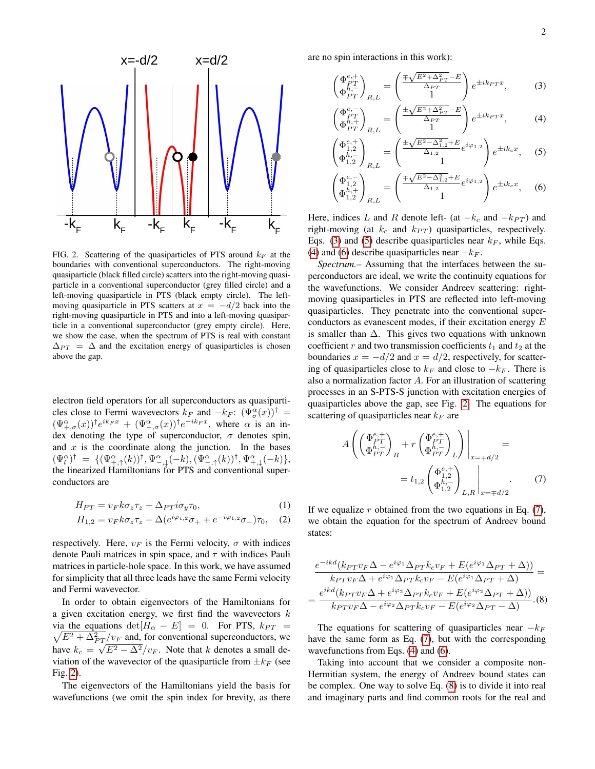

<span id="page-1-0"></span>FIG. 2. Scattering of the quasiparticles of PTS around  $k_F$  at the boundaries with conventional superconductors. The right-moving quasiparticle (black filled circle) scatters into the right-moving quasiparticle in a conventional superconductor (grey filled circle) and a left-moving quasiparticle in PTS (black empty circle). The leftmoving quasiparticle in PTS scatters at  $x = -d/2$  back into the right-moving quasiparticle in PTS and into a left-moving quasiparticle in a conventional superconductor (grey empty circle). Here, we show the case, when the spectrum of PTS is real with constant  $\Delta_{PT} = \Delta$  and the excitation energy of quasiparticles is chosen above the gap.

electron field operators for all superconductors as quasiparticles close to Fermi wavevectors  $k_F$  and  $-k_F$ :  $(\Psi_{\sigma}^{\alpha}(x))^{\dagger}$  =  $(\Psi_{+,\sigma}^{\alpha}(x))$ <sup>†</sup> $e^{ik_Fx} + (\Psi_{-,\sigma}^{\alpha}(x))$ <sup>†</sup> $e^{-ik_Fx}$ , where  $\alpha$  is an index denoting the type of superconductor,  $\sigma$  denotes spin, and  $x$  is the coordinate along the junction. In the bases  $(\Psi_l^{\alpha})^{\dagger} = \{(\Psi_{+, \uparrow}^{\alpha}(k))^{\dagger}, \Psi_{-, \downarrow}^{\alpha}(-k), (\Psi_{-, \uparrow}^{\alpha}(k))^{\dagger}, \Psi_{+, \downarrow}^{\alpha}(-k)\},$ the linearized Hamiltonians for PTS and conventional superconductors are

$$
H_{PT} = v_F k \sigma_z \tau_z + \Delta_{PT} i \sigma_y \tau_0, \tag{1}
$$

$$
H_{1,2} = v_F k \sigma_z \tau_z + \Delta(e^{i\varphi_{1,2}} \sigma_+ + e^{-i\varphi_{1,2}} \sigma_-) \tau_0, \quad (2)
$$

respectively. Here,  $v_F$  is the Fermi velocity,  $\sigma$  with indices denote Pauli matrices in spin space, and  $\tau$  with indices Pauli matrices in particle-hole space. In this work, we have assumed for simplicity that all three leads have the same Fermi velocity and Fermi wavevector.

In order to obtain eigenvectors of the Hamiltonians for a given excitation energy, we first find the wavevectors  $k$ via the equations  $det[H_{\alpha} - E] = 0$ . For PTS,  $k_{PT} =$  $\sqrt{E^2 + \Delta_{PT}^2/v_F}$  and, for conventional superconductors, we have  $k_c = \sqrt{E^2 - \Delta^2}/v_F$ . Note that k denotes a small deviation of the wavevector of the quasiparticle from  $\pm k_F$  (see Fig. [2\)](#page-1-0).

The eigenvectors of the Hamiltonians yield the basis for wavefunctions (we omit the spin index for brevity, as there

are no spin interactions in this work):

 $\sqrt{ }$ 

<span id="page-1-1"></span>
$$
\begin{pmatrix} \Phi_{PT}^{e,+} \\ \Phi_{PT}^{h,-} \end{pmatrix}_{R,L} = \begin{pmatrix} \frac{\mp\sqrt{E^2 + \Delta_{PT}^2} - E}{\Delta_{PT}} \\ 1 \end{pmatrix} e^{\pm ik_{PT}x}, \quad (3)
$$

$$
\begin{pmatrix} \Phi_{PT}^{e,-} \\ \Phi_{PT}^{h,+} \end{pmatrix}_{R,L} = \begin{pmatrix} \frac{\pm\sqrt{E^2 + \Delta_{PT}^2 - E}}{\Delta_{PT}} \\ 1 \end{pmatrix} e^{\pm ik_{PT}x}, \tag{4}
$$

$$
\Phi_{1,2}^{e,+}
$$
\n
$$
\Phi_{1,2}^{h,+}
$$
\n
$$
\Phi_{1,2}^{h,-}
$$
\n
$$
E_{1,2} = \left(\frac{\pm\sqrt{E^2 - \Delta_{1,2}^2} + E}{\Delta_{1,2}} e^{i\varphi_{1,2}}\right) e^{\pm ik_c x}, \quad (5)
$$

$$
\begin{pmatrix} \Phi_{1,2}^{e,-} \\ \Phi_{1,2}^{h,+} \\ \Phi_{1,2}^{h,+} \end{pmatrix}_{R,L} = \begin{pmatrix} \frac{\mp \sqrt{E^2 - \Delta_{1,2}^2 + E}}{\Delta_{1,2}} e^{i\varphi_{1,2}} \\ 1 \end{pmatrix} e^{\pm i k_c x}, \quad (6)
$$

Here, indices L and R denote left- (at  $-k_c$  and  $-k_{PT}$ ) and right-moving (at  $k_c$  and  $k_{PT}$ ) quasiparticles, respectively. Eqs. [\(3\)](#page-1-1) and [\(5\)](#page-1-1) describe quasiparticles near  $k_F$ , while Eqs. [\(4\)](#page-1-1) and [\(6\)](#page-1-1) describe quasiparticles near  $-k_F$ .

*Spectrum.–* Assuming that the interfaces between the superconductors are ideal, we write the continuity equations for the wavefunctions. We consider Andreev scattering: rightmoving quasiparticles in PTS are reflected into left-moving quasiparticles. They penetrate into the conventional superconductors as evanescent modes, if their excitation energy E is smaller than  $\Delta$ . This gives two equations with unknown coefficient r and two transmission coefficients  $t_1$  and  $t_2$  at the boundaries  $x = -d/2$  and  $x = d/2$ , respectively, for scattering of quasiparticles close to  $k_F$  and close to  $-k_F$ . There is also a normalization factor A. For an illustration of scattering processes in an S-PTS-S junction with excitation energies of quasiparticles above the gap, see Fig. [2.](#page-1-0) The equations for scattering of quasiparticles near  $k_F$  are

<span id="page-1-2"></span>
$$
A\left(\begin{pmatrix} \Phi_{PT}^{e,+} \\ \Phi_{PT}^{h,-} \end{pmatrix}_{R} + r \begin{pmatrix} \Phi_{PT}^{e,+} \\ \Phi_{PT}^{h,-} \end{pmatrix}_{L} \right) \Big|_{x=\mp d/2} =
$$
  
=  $t_{1,2} \begin{pmatrix} \Phi_{1,2}^{e,+} \\ \Phi_{1,2}^{h,-} \end{pmatrix}_{L,R} \Big|_{x=\mp d/2}$ . (7)

If we equalize r obtained from the two equations in Eq.  $(7)$ , we obtain the equation for the spectrum of Andreev bound states:

<span id="page-1-3"></span>
$$
\frac{e^{-ikd}(k_{PT}v_{F}\Delta - e^{i\varphi_{1}}\Delta_{PT}k_{c}v_{F} + E(e^{i\varphi_{1}}\Delta_{PT} + \Delta))}{k_{PT}v_{F}\Delta + e^{i\varphi_{1}}\Delta_{PT}k_{c}v_{F} - E(e^{i\varphi_{1}}\Delta_{PT} + \Delta)} =
$$
\n
$$
= \frac{e^{ikd}(k_{PT}v_{F}\Delta + e^{i\varphi_{2}}\Delta_{PT}k_{c}v_{F} + E(e^{i\varphi_{2}}\Delta_{PT} + \Delta))}{k_{PT}v_{F}\Delta - e^{i\varphi_{2}}\Delta_{PT}k_{c}v_{F} - E(e^{i\varphi_{2}}\Delta_{PT} - \Delta)}.
$$
\n(8)

The equations for scattering of quasiparticles near  $-k_F$ have the same form as Eq. [\(7\)](#page-1-2), but with the corresponding wavefunctions from Eqs. [\(4\)](#page-1-1) and [\(6\)](#page-1-1).

Taking into account that we consider a composite non-Hermitian system, the energy of Andreev bound states can be complex. One way to solve Eq. [\(8\)](#page-1-3) is to divide it into real and imaginary parts and find common roots for the real and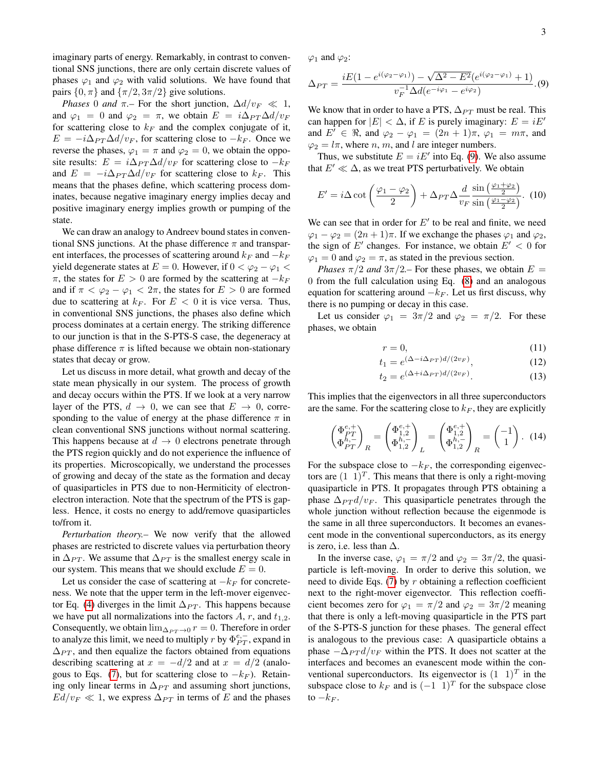imaginary parts of energy. Remarkably, in contrast to conventional SNS junctions, there are only certain discrete values of phases  $\varphi_1$  and  $\varphi_2$  with valid solutions. We have found that pairs  $\{0, \pi\}$  and  $\{\pi/2, 3\pi/2\}$  give solutions.

*Phases* 0 *and*  $\pi$ - For the short junction,  $\Delta d/v_F \ll 1$ , and  $\varphi_1 = 0$  and  $\varphi_2 = \pi$ , we obtain  $E = i\Delta_{PT}\Delta d/v_F$ for scattering close to  $k_F$  and the complex conjugate of it,  $E = -i\Delta_{PT}\Delta d/v_F$ , for scattering close to  $-k_F$ . Once we reverse the phases,  $\varphi_1 = \pi$  and  $\varphi_2 = 0$ , we obtain the opposite results:  $E = i\Delta_{PT}\Delta d/v_F$  for scattering close to  $-k_F$ and  $E = -i\Delta_{PT}\Delta d/v_F$  for scattering close to  $k_F$ . This means that the phases define, which scattering process dominates, because negative imaginary energy implies decay and positive imaginary energy implies growth or pumping of the state.

We can draw an analogy to Andreev bound states in conventional SNS junctions. At the phase difference  $\pi$  and transparent interfaces, the processes of scattering around  $k_F$  and  $-k_F$ yield degenerate states at  $E = 0$ . However, if  $0 < \varphi_2 - \varphi_1 <$  $\pi$ , the states for  $E > 0$  are formed by the scattering at  $-k_F$ and if  $\pi < \varphi_2 - \varphi_1 < 2\pi$ , the states for  $E > 0$  are formed due to scattering at  $k_F$ . For  $E < 0$  it is vice versa. Thus, in conventional SNS junctions, the phases also define which process dominates at a certain energy. The striking difference to our junction is that in the S-PTS-S case, the degeneracy at phase difference  $\pi$  is lifted because we obtain non-stationary states that decay or grow.

Let us discuss in more detail, what growth and decay of the state mean physically in our system. The process of growth and decay occurs within the PTS. If we look at a very narrow layer of the PTS,  $d \rightarrow 0$ , we can see that  $E \rightarrow 0$ , corresponding to the value of energy at the phase difference  $\pi$  in clean conventional SNS junctions without normal scattering. This happens because at  $d \rightarrow 0$  electrons penetrate through the PTS region quickly and do not experience the influence of its properties. Microscopically, we understand the processes of growing and decay of the state as the formation and decay of quasiparticles in PTS due to non-Hermiticity of electronelectron interaction. Note that the spectrum of the PTS is gapless. Hence, it costs no energy to add/remove quasiparticles to/from it.

*Perturbation theory.–* We now verify that the allowed phases are restricted to discrete values via perturbation theory in  $\Delta_{PT}$ . We assume that  $\Delta_{PT}$  is the smallest energy scale in our system. This means that we should exclude  $E = 0$ .

Let us consider the case of scattering at  $-k_F$  for concreteness. We note that the upper term in the left-mover eigenvec-tor Eq. [\(4\)](#page-1-1) diverges in the limit  $\Delta_{PT}$ . This happens because we have put all normalizations into the factors  $A$ ,  $r$ , and  $t_{1,2}$ . Consequently, we obtain  $\lim_{\Delta_{PT} \to 0} r = 0$ . Therefore in order to analyze this limit, we need to multiply r by  $\Phi_{PT}^{e,-}$ , expand in  $\Delta_{PT}$ , and then equalize the factors obtained from equations describing scattering at  $x = -d/2$  and at  $x = d/2$  (analo-gous to Eqs. [\(7\)](#page-1-2), but for scattering close to  $-k_F$ ). Retaining only linear terms in  $\Delta_{PT}$  and assuming short junctions,  $Ed/v_F \ll 1$ , we express  $\Delta_{PT}$  in terms of E and the phases

 $\varphi_1$  and  $\varphi_2$ :

<span id="page-2-0"></span>
$$
\Delta_{PT} = \frac{iE(1 - e^{i(\varphi_2 - \varphi_1)}) - \sqrt{\Delta^2 - E^2}(e^{i(\varphi_2 - \varphi_1)} + 1)}{v_F^{-1} \Delta d(e^{-i\varphi_1} - e^{i\varphi_2})}.
$$
(9)

We know that in order to have a PTS,  $\Delta_{PT}$  must be real. This can happen for  $|E| < \Delta$ , if E is purely imaginary:  $E = iE'$ and  $E' \in \Re$ , and  $\varphi_2 - \varphi_1 = (2n + 1)\pi$ ,  $\varphi_1 = m\pi$ , and  $\varphi_2 = l\pi$ , where *n*, *m*, and *l* are integer numbers.

Thus, we substitute  $E = iE'$  into Eq. [\(9\)](#page-2-0). We also assume that  $E' \ll \Delta$ , as we treat PTS perturbatively. We obtain

$$
E' = i\Delta \cot\left(\frac{\varphi_1 - \varphi_2}{2}\right) + \Delta_{PT}\Delta \frac{d}{v_F} \frac{\sin\left(\frac{\varphi_1 + \varphi_2}{2}\right)}{\sin\left(\frac{\varphi_1 - \varphi_2}{2}\right)}.
$$
 (10)

We can see that in order for  $E'$  to be real and finite, we need  $\varphi_1 - \varphi_2 = (2n + 1)\pi$ . If we exchange the phases  $\varphi_1$  and  $\varphi_2$ , the sign of  $E'$  changes. For instance, we obtain  $E' < 0$  for  $\varphi_1 = 0$  and  $\varphi_2 = \pi$ , as stated in the previous section.

*Phases*  $\pi/2$  *and*  $3\pi/2$ *-* For these phases, we obtain  $E =$ 0 from the full calculation using Eq. [\(8\)](#page-1-3) and an analogous equation for scattering around  $-k_F$ . Let us first discuss, why there is no pumping or decay in this case.

Let us consider  $\varphi_1 = 3\pi/2$  and  $\varphi_2 = \pi/2$ . For these phases, we obtain

<span id="page-2-1"></span>
$$
r = 0,\t\t(11)
$$

$$
t_1 = e^{(\Delta - i\Delta_{PT})d/(2v_F)}, \tag{12}
$$

$$
t_2 = e^{(\Delta + i\Delta_{PT})d/(2v_F)}.\t(13)
$$

This implies that the eigenvectors in all three superconductors are the same. For the scattering close to  $k_F$ , they are explicitly

$$
\begin{pmatrix} \Phi_{PT}^{e,+} \\ \Phi_{PT}^{h,-} \end{pmatrix}_R = \begin{pmatrix} \Phi_{1,2}^{e,+} \\ \Phi_{1,2}^{h,-} \end{pmatrix}_L = \begin{pmatrix} \Phi_{1,2}^{e,+} \\ \Phi_{1,2}^{h,-} \end{pmatrix}_R = \begin{pmatrix} -1 \\ 1 \end{pmatrix} . \tag{14}
$$

For the subspace close to  $-k_F$ , the corresponding eigenvectors are  $(1\; 1)^T$ . This means that there is only a right-moving quasiparticle in PTS. It propagates through PTS obtaining a phase  $\Delta_{PT} d/v_F$ . This quasiparticle penetrates through the whole junction without reflection because the eigenmode is the same in all three superconductors. It becomes an evanescent mode in the conventional superconductors, as its energy is zero, i.e. less than  $\Delta$ .

In the inverse case,  $\varphi_1 = \pi/2$  and  $\varphi_2 = 3\pi/2$ , the quasiparticle is left-moving. In order to derive this solution, we need to divide Eqs.  $(7)$  by r obtaining a reflection coefficient next to the right-mover eigenvector. This reflection coefficient becomes zero for  $\varphi_1 = \pi/2$  and  $\varphi_2 = 3\pi/2$  meaning that there is only a left-moving quasiparticle in the PTS part of the S-PTS-S junction for these phases. The general effect is analogous to the previous case: A quasiparticle obtains a phase  $-\Delta_{PT} d/v_F$  within the PTS. It does not scatter at the interfaces and becomes an evanescent mode within the conventional superconductors. Its eigenvector is  $(1\ 1)^T$  in the subspace close to  $k_F$  and is  $(-1 \ 1)^T$  for the subspace close to  $-k_F$ .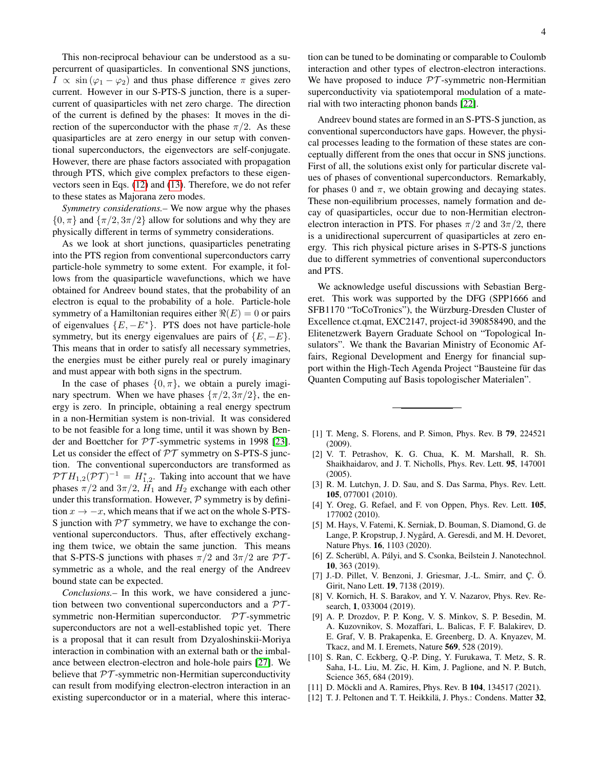This non-reciprocal behaviour can be understood as a supercurrent of quasiparticles. In conventional SNS junctions,  $I \propto \sin(\varphi_1 - \varphi_2)$  and thus phase difference  $\pi$  gives zero current. However in our S-PTS-S junction, there is a supercurrent of quasiparticles with net zero charge. The direction of the current is defined by the phases: It moves in the direction of the superconductor with the phase  $\pi/2$ . As these quasiparticles are at zero energy in our setup with conventional superconductors, the eigenvectors are self-conjugate. However, there are phase factors associated with propagation through PTS, which give complex prefactors to these eigenvectors seen in Eqs. [\(12\)](#page-2-1) and [\(13\)](#page-2-1). Therefore, we do not refer to these states as Majorana zero modes.

*Symmetry considerations.–* We now argue why the phases  $\{0, \pi\}$  and  $\{\pi/2, 3\pi/2\}$  allow for solutions and why they are physically different in terms of symmetry considerations.

As we look at short junctions, quasiparticles penetrating into the PTS region from conventional superconductors carry particle-hole symmetry to some extent. For example, it follows from the quasiparticle wavefunctions, which we have obtained for Andreev bound states, that the probability of an electron is equal to the probability of a hole. Particle-hole symmetry of a Hamiltonian requires either  $\Re(E) = 0$  or pairs of eigenvalues  ${E, -E^*}$ . PTS does not have particle-hole symmetry, but its energy eigenvalues are pairs of  $\{E, -E\}$ . This means that in order to satisfy all necessary symmetries, the energies must be either purely real or purely imaginary and must appear with both signs in the spectrum.

In the case of phases  $\{0, \pi\}$ , we obtain a purely imaginary spectrum. When we have phases  $\{\pi/2, 3\pi/2\}$ , the energy is zero. In principle, obtaining a real energy spectrum in a non-Hermitian system is non-trivial. It was considered to be not feasible for a long time, until it was shown by Bender and Boettcher for  $PT$ -symmetric systems in 1998 [\[23\]](#page-4-7). Let us consider the effect of  $\mathcal{PT}$  symmetry on S-PTS-S junction. The conventional superconductors are transformed as  $\mathcal{PT}H_{1,2}(\mathcal{PT})^{-1} = H_{1,2}^*$ . Taking into account that we have phases  $\pi/2$  and  $3\pi/2$ ,  $H_1$  and  $H_2$  exchange with each other under this transformation. However,  $P$  symmetry is by definition  $x \to -x$ , which means that if we act on the whole S-PTS-S junction with  $PT$  symmetry, we have to exchange the conventional superconductors. Thus, after effectively exchanging them twice, we obtain the same junction. This means that S-PTS-S junctions with phases  $\pi/2$  and  $3\pi/2$  are PTsymmetric as a whole, and the real energy of the Andreev bound state can be expected.

*Conclusions.–* In this work, we have considered a junction between two conventional superconductors and a  $\mathcal{PT}$ symmetric non-Hermitian superconductor. PT -symmetric superconductors are not a well-established topic yet. There is a proposal that it can result from Dzyaloshinskii-Moriya interaction in combination with an external bath or the imbalance between electron-electron and hole-hole pairs [\[27\]](#page-4-10). We believe that  $PT$ -symmetric non-Hermitian superconductivity can result from modifying electron-electron interaction in an existing superconductor or in a material, where this interaction can be tuned to be dominating or comparable to Coulomb interaction and other types of electron-electron interactions. We have proposed to induce  $PT$ -symmetric non-Hermitian superconductivity via spatiotemporal modulation of a material with two interacting phonon bands [\[22\]](#page-4-6).

Andreev bound states are formed in an S-PTS-S junction, as conventional superconductors have gaps. However, the physical processes leading to the formation of these states are conceptually different from the ones that occur in SNS junctions. First of all, the solutions exist only for particular discrete values of phases of conventional superconductors. Remarkably, for phases 0 and  $\pi$ , we obtain growing and decaying states. These non-equilibrium processes, namely formation and decay of quasiparticles, occur due to non-Hermitian electronelectron interaction in PTS. For phases  $\pi/2$  and  $3\pi/2$ , there is a unidirectional supercurrent of quasiparticles at zero energy. This rich physical picture arises in S-PTS-S junctions due to different symmetries of conventional superconductors and PTS.

We acknowledge useful discussions with Sebastian Bergeret. This work was supported by the DFG (SPP1666 and SFB1170 "ToCoTronics"), the Würzburg-Dresden Cluster of Excellence ct.qmat, EXC2147, project-id 390858490, and the Elitenetzwerk Bayern Graduate School on "Topological Insulators". We thank the Bavarian Ministry of Economic Affairs, Regional Development and Energy for financial support within the High-Tech Agenda Project "Bausteine für das Quanten Computing auf Basis topologischer Materialen".

- <span id="page-3-0"></span>[1] T. Meng, S. Florens, and P. Simon, Phys. Rev. B 79, 224521 (2009).
- [2] V. T. Petrashov, K. G. Chua, K. M. Marshall, R. Sh. Shaikhaidarov, and J. T. Nicholls, Phys. Rev. Lett. 95, 147001 (2005).
- [3] R. M. Lutchyn, J. D. Sau, and S. Das Sarma, Phys. Rev. Lett. 105, 077001 (2010).
- [4] Y. Oreg, G. Refael, and F. von Oppen, Phys. Rev. Lett. **105**, 177002 (2010).
- <span id="page-3-1"></span>[5] M. Hays, V. Fatemi, K. Serniak, D. Bouman, S. Diamond, G. de Lange, P. Kropstrup, J. Nygård, A. Geresdi, and M. H. Devoret, Nature Phys. 16, 1103 (2020).
- <span id="page-3-2"></span>[6] Z. Scherübl, A. Pályi, and S. Csonka, Beilstein J. Nanotechnol. 10, 363 (2019).
- [7] J.-D. Pillet, V. Benzoni, J. Griesmar, J.-L. Smirr, and Ç. Ö. Girit, Nano Lett. 19, 7138 (2019).
- <span id="page-3-3"></span>[8] V. Kornich, H. S. Barakov, and Y. V. Nazarov, Phys. Rev. Research, 1, 033004 (2019).
- <span id="page-3-4"></span>[9] A. P. Drozdov, P. P. Kong, V. S. Minkov, S. P. Besedin, M. A. Kuzovnikov, S. Mozaffari, L. Balicas, F. F. Balakirev, D. E. Graf, V. B. Prakapenka, E. Greenberg, D. A. Knyazev, M. Tkacz, and M. I. Eremets, Nature 569, 528 (2019).
- <span id="page-3-5"></span>[10] S. Ran, C. Eckberg, Q.-P. Ding, Y. Furukawa, T. Metz, S. R. Saha, I-L. Liu, M. Zic, H. Kim, J. Paglione, and N. P. Butch, Science 365, 684 (2019).
- <span id="page-3-6"></span>[11] D. Möckli and A. Ramires, Phys. Rev. B 104, 134517 (2021).
- <span id="page-3-7"></span>[12] T. J. Peltonen and T. T. Heikkilä, J. Phys.: Condens. Matter 32,